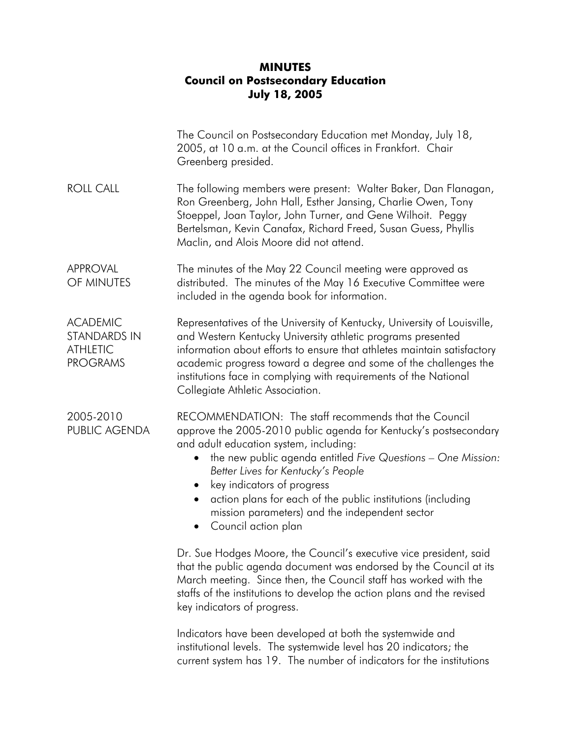## **MINUTES Council on Postsecondary Education July 18, 2005**

|                                                                              | The Council on Postsecondary Education met Monday, July 18,<br>2005, at 10 a.m. at the Council offices in Frankfort. Chair<br>Greenberg presided.                                                                                                                                                                                                                                                                                                            |
|------------------------------------------------------------------------------|--------------------------------------------------------------------------------------------------------------------------------------------------------------------------------------------------------------------------------------------------------------------------------------------------------------------------------------------------------------------------------------------------------------------------------------------------------------|
| <b>ROLL CALL</b>                                                             | The following members were present: Walter Baker, Dan Flanagan,<br>Ron Greenberg, John Hall, Esther Jansing, Charlie Owen, Tony<br>Stoeppel, Joan Taylor, John Turner, and Gene Wilhoit. Peggy<br>Bertelsman, Kevin Canafax, Richard Freed, Susan Guess, Phyllis<br>Maclin, and Alois Moore did not attend.                                                                                                                                                  |
| <b>APPROVAL</b><br>OF MINUTES                                                | The minutes of the May 22 Council meeting were approved as<br>distributed. The minutes of the May 16 Executive Committee were<br>included in the agenda book for information.                                                                                                                                                                                                                                                                                |
| <b>ACADEMIC</b><br><b>STANDARDS IN</b><br><b>ATHLETIC</b><br><b>PROGRAMS</b> | Representatives of the University of Kentucky, University of Louisville,<br>and Western Kentucky University athletic programs presented<br>information about efforts to ensure that athletes maintain satisfactory<br>academic progress toward a degree and some of the challenges the<br>institutions face in complying with requirements of the National<br>Collegiate Athletic Association.                                                               |
| 2005-2010<br>PUBLIC AGENDA                                                   | RECOMMENDATION: The staff recommends that the Council<br>approve the 2005-2010 public agenda for Kentucky's postsecondary<br>and adult education system, including:<br>the new public agenda entitled Five Questions - One Mission:<br>Better Lives for Kentucky's People<br>key indicators of progress<br>action plans for each of the public institutions (including<br>mission parameters) and the independent sector<br>Council action plan<br>$\bullet$ |
|                                                                              | Dr. Sue Hodges Moore, the Council's executive vice president, said<br>that the public agenda document was endorsed by the Council at its<br>March meeting. Since then, the Council staff has worked with the<br>staffs of the institutions to develop the action plans and the revised<br>key indicators of progress.                                                                                                                                        |
|                                                                              | Indicators have been developed at both the systemwide and<br>institutional levels. The systemwide level has 20 indicators; the<br>current system has 19. The number of indicators for the institutions                                                                                                                                                                                                                                                       |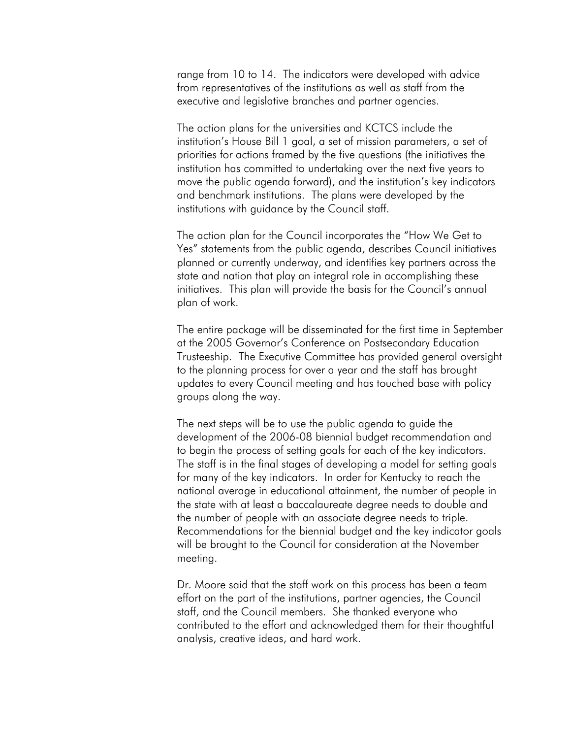range from 10 to 14. The indicators were developed with advice from representatives of the institutions as well as staff from the executive and legislative branches and partner agencies.

The action plans for the universities and KCTCS include the institution's House Bill 1 goal, a set of mission parameters, a set of priorities for actions framed by the five questions (the initiatives the institution has committed to undertaking over the next five years to move the public agenda forward), and the institution's key indicators and benchmark institutions. The plans were developed by the institutions with guidance by the Council staff.

The action plan for the Council incorporates the "How We Get to Yes" statements from the public agenda, describes Council initiatives planned or currently underway, and identifies key partners across the state and nation that play an integral role in accomplishing these initiatives. This plan will provide the basis for the Council's annual plan of work.

The entire package will be disseminated for the first time in September at the 2005 Governor's Conference on Postsecondary Education Trusteeship. The Executive Committee has provided general oversight to the planning process for over a year and the staff has brought updates to every Council meeting and has touched base with policy groups along the way.

The next steps will be to use the public agenda to guide the development of the 2006-08 biennial budget recommendation and to begin the process of setting goals for each of the key indicators. The staff is in the final stages of developing a model for setting goals for many of the key indicators. In order for Kentucky to reach the national average in educational attainment, the number of people in the state with at least a baccalaureate degree needs to double and the number of people with an associate degree needs to triple. Recommendations for the biennial budget and the key indicator goals will be brought to the Council for consideration at the November meeting.

Dr. Moore said that the staff work on this process has been a team effort on the part of the institutions, partner agencies, the Council staff, and the Council members. She thanked everyone who contributed to the effort and acknowledged them for their thoughtful analysis, creative ideas, and hard work.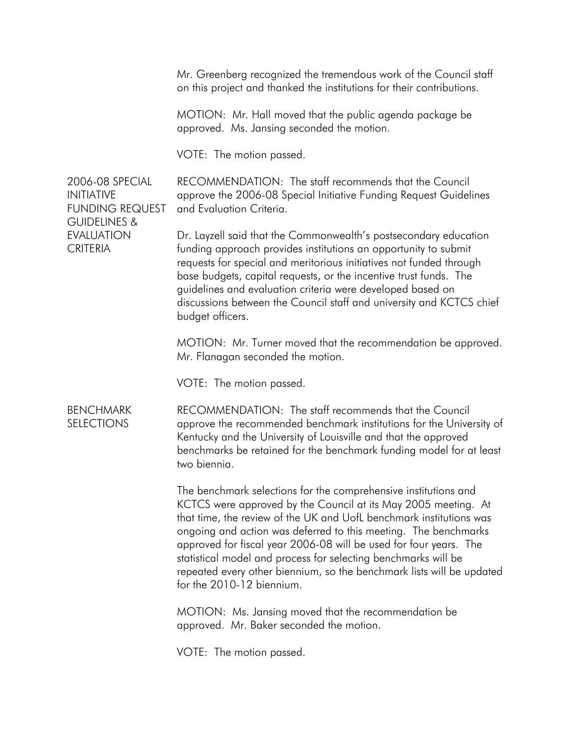Mr. Greenberg recognized the tremendous work of the Council staff on this project and thanked the institutions for their contributions.

MOTION: Mr. Hall moved that the public agenda package be approved. Ms. Jansing seconded the motion.

VOTE: The motion passed.

RECOMMENDATION: The staff recommends that the Council approve the 2006-08 Special Initiative Funding Request Guidelines and Evaluation Criteria.

Dr. Layzell said that the Commonwealth's postsecondary education funding approach provides institutions an opportunity to submit requests for special and meritorious initiatives not funded through base budgets, capital requests, or the incentive trust funds. The guidelines and evaluation criteria were developed based on discussions between the Council staff and university and KCTCS chief budget officers.

MOTION: Mr. Turner moved that the recommendation be approved. Mr. Flanagan seconded the motion.

VOTE: The motion passed.

**BENCHMARK SELECTIONS** RECOMMENDATION: The staff recommends that the Council approve the recommended benchmark institutions for the University of Kentucky and the University of Louisville and that the approved benchmarks be retained for the benchmark funding model for at least two biennia.

> The benchmark selections for the comprehensive institutions and KCTCS were approved by the Council at its May 2005 meeting. At that time, the review of the UK and UofL benchmark institutions was ongoing and action was deferred to this meeting. The benchmarks approved for fiscal year 2006-08 will be used for four years. The statistical model and process for selecting benchmarks will be repeated every other biennium, so the benchmark lists will be updated for the 2010-12 biennium.

MOTION: Ms. Jansing moved that the recommendation be approved. Mr. Baker seconded the motion.

VOTE: The motion passed.

2006-08 SPECIAL INITIATIVE FUNDING REQUEST GUIDELINES & EVALUATION **CRITERIA**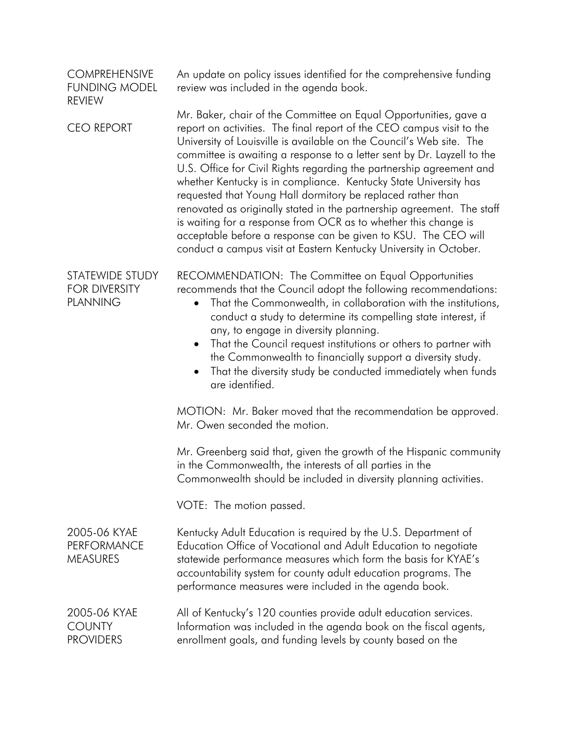| <b>COMPREHENSIVE</b><br><b>FUNDING MODEL</b><br><b>REVIEW</b> | An update on policy issues identified for the comprehensive funding<br>review was included in the agenda book.                                                                                                                                                                                                                                                                                                                                                                                                                                                                                                                                                                                                                                                                              |
|---------------------------------------------------------------|---------------------------------------------------------------------------------------------------------------------------------------------------------------------------------------------------------------------------------------------------------------------------------------------------------------------------------------------------------------------------------------------------------------------------------------------------------------------------------------------------------------------------------------------------------------------------------------------------------------------------------------------------------------------------------------------------------------------------------------------------------------------------------------------|
| <b>CEO REPORT</b>                                             | Mr. Baker, chair of the Committee on Equal Opportunities, gave a<br>report on activities. The final report of the CEO campus visit to the<br>University of Louisville is available on the Council's Web site. The<br>committee is awaiting a response to a letter sent by Dr. Layzell to the<br>U.S. Office for Civil Rights regarding the partnership agreement and<br>whether Kentucky is in compliance. Kentucky State University has<br>requested that Young Hall dormitory be replaced rather than<br>renovated as originally stated in the partnership agreement. The staff<br>is waiting for a response from OCR as to whether this change is<br>acceptable before a response can be given to KSU. The CEO will<br>conduct a campus visit at Eastern Kentucky University in October. |
| STATEWIDE STUDY<br><b>FOR DIVERSITY</b><br><b>PLANNING</b>    | RECOMMENDATION: The Committee on Equal Opportunities<br>recommends that the Council adopt the following recommendations:<br>That the Commonwealth, in collaboration with the institutions,<br>$\bullet$<br>conduct a study to determine its compelling state interest, if<br>any, to engage in diversity planning.<br>That the Council request institutions or others to partner with<br>$\bullet$<br>the Commonwealth to financially support a diversity study.<br>That the diversity study be conducted immediately when funds<br>$\bullet$<br>are identified.                                                                                                                                                                                                                            |
|                                                               | MOTION: Mr. Baker moved that the recommendation be approved.<br>Mr. Owen seconded the motion.                                                                                                                                                                                                                                                                                                                                                                                                                                                                                                                                                                                                                                                                                               |
|                                                               | Mr. Greenberg said that, given the growth of the Hispanic community<br>in the Commonwealth, the interests of all parties in the<br>Commonwealth should be included in diversity planning activities.                                                                                                                                                                                                                                                                                                                                                                                                                                                                                                                                                                                        |
|                                                               | VOTE: The motion passed.                                                                                                                                                                                                                                                                                                                                                                                                                                                                                                                                                                                                                                                                                                                                                                    |
| 2005-06 KYAE<br><b>PERFORMANCE</b><br><b>MEASURES</b>         | Kentucky Adult Education is required by the U.S. Department of<br>Education Office of Vocational and Adult Education to negotiate<br>statewide performance measures which form the basis for KYAE's<br>accountability system for county adult education programs. The<br>performance measures were included in the agenda book.                                                                                                                                                                                                                                                                                                                                                                                                                                                             |
| 2005-06 KYAE<br><b>COUNTY</b><br><b>PROVIDERS</b>             | All of Kentucky's 120 counties provide adult education services.<br>Information was included in the agenda book on the fiscal agents,<br>enrollment goals, and funding levels by county based on the                                                                                                                                                                                                                                                                                                                                                                                                                                                                                                                                                                                        |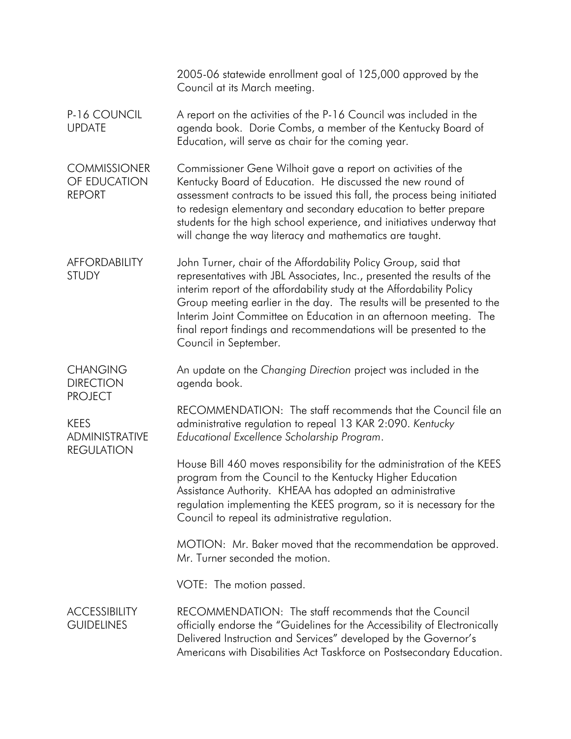|                                                           | 2005-06 statewide enrollment goal of 125,000 approved by the<br>Council at its March meeting.                                                                                                                                                                                                                                                                                                                                                                     |
|-----------------------------------------------------------|-------------------------------------------------------------------------------------------------------------------------------------------------------------------------------------------------------------------------------------------------------------------------------------------------------------------------------------------------------------------------------------------------------------------------------------------------------------------|
| P-16 COUNCIL<br><b>UPDATE</b>                             | A report on the activities of the P-16 Council was included in the<br>agenda book. Dorie Combs, a member of the Kentucky Board of<br>Education, will serve as chair for the coming year.                                                                                                                                                                                                                                                                          |
| <b>COMMISSIONER</b><br>OF EDUCATION<br><b>REPORT</b>      | Commissioner Gene Wilhoit gave a report on activities of the<br>Kentucky Board of Education. He discussed the new round of<br>assessment contracts to be issued this fall, the process being initiated<br>to redesign elementary and secondary education to better prepare<br>students for the high school experience, and initiatives underway that<br>will change the way literacy and mathematics are taught.                                                  |
| <b>AFFORDABILITY</b><br><b>STUDY</b>                      | John Turner, chair of the Affordability Policy Group, said that<br>representatives with JBL Associates, Inc., presented the results of the<br>interim report of the affordability study at the Affordability Policy<br>Group meeting earlier in the day. The results will be presented to the<br>Interim Joint Committee on Education in an afternoon meeting. The<br>final report findings and recommendations will be presented to the<br>Council in September. |
| <b>CHANGING</b><br><b>DIRECTION</b><br><b>PROJECT</b>     | An update on the Changing Direction project was included in the<br>agenda book.                                                                                                                                                                                                                                                                                                                                                                                   |
| <b>KEES</b><br><b>ADMINISTRATIVE</b><br><b>REGULATION</b> | RECOMMENDATION: The staff recommends that the Council file an<br>administrative regulation to repeal 13 KAR 2:090. Kentucky<br>Educational Excellence Scholarship Program.                                                                                                                                                                                                                                                                                        |
|                                                           | House Bill 460 moves responsibility for the administration of the KEES<br>program from the Council to the Kentucky Higher Education<br>Assistance Authority. KHEAA has adopted an administrative<br>regulation implementing the KEES program, so it is necessary for the<br>Council to repeal its administrative regulation.                                                                                                                                      |
|                                                           | MOTION: Mr. Baker moved that the recommendation be approved.<br>Mr. Turner seconded the motion.                                                                                                                                                                                                                                                                                                                                                                   |
|                                                           | VOTE: The motion passed.                                                                                                                                                                                                                                                                                                                                                                                                                                          |
| <b>ACCESSIBILITY</b><br><b>GUIDELINES</b>                 | RECOMMENDATION: The staff recommends that the Council<br>officially endorse the "Guidelines for the Accessibility of Electronically<br>Delivered Instruction and Services" developed by the Governor's<br>Americans with Disabilities Act Taskforce on Postsecondary Education.                                                                                                                                                                                   |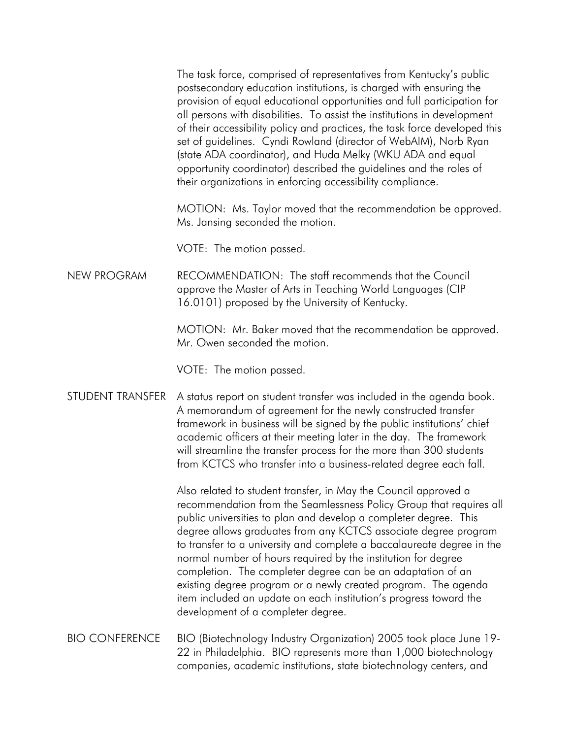The task force, comprised of representatives from Kentucky's public postsecondary education institutions, is charged with ensuring the provision of equal educational opportunities and full participation for all persons with disabilities. To assist the institutions in development of their accessibility policy and practices, the task force developed this set of guidelines. Cyndi Rowland (director of WebAIM), Norb Ryan (state ADA coordinator), and Huda Melky (WKU ADA and equal opportunity coordinator) described the guidelines and the roles of their organizations in enforcing accessibility compliance.

MOTION: Ms. Taylor moved that the recommendation be approved. Ms. Jansing seconded the motion.

VOTE: The motion passed.

NEW PROGRAM RECOMMENDATION: The staff recommends that the Council approve the Master of Arts in Teaching World Languages (CIP 16.0101) proposed by the University of Kentucky.

> MOTION: Mr. Baker moved that the recommendation be approved. Mr. Owen seconded the motion.

VOTE: The motion passed.

## STUDENT TRANSFER A status report on student transfer was included in the agenda book. A memorandum of agreement for the newly constructed transfer framework in business will be signed by the public institutions' chief academic officers at their meeting later in the day. The framework will streamline the transfer process for the more than 300 students from KCTCS who transfer into a business-related degree each fall.

Also related to student transfer, in May the Council approved a recommendation from the Seamlessness Policy Group that requires all public universities to plan and develop a completer degree. This degree allows graduates from any KCTCS associate degree program to transfer to a university and complete a baccalaureate degree in the normal number of hours required by the institution for degree completion. The completer degree can be an adaptation of an existing degree program or a newly created program. The agenda item included an update on each institution's progress toward the development of a completer degree.

BIO CONFERENCE BIO (Biotechnology Industry Organization) 2005 took place June 19- 22 in Philadelphia. BIO represents more than 1,000 biotechnology companies, academic institutions, state biotechnology centers, and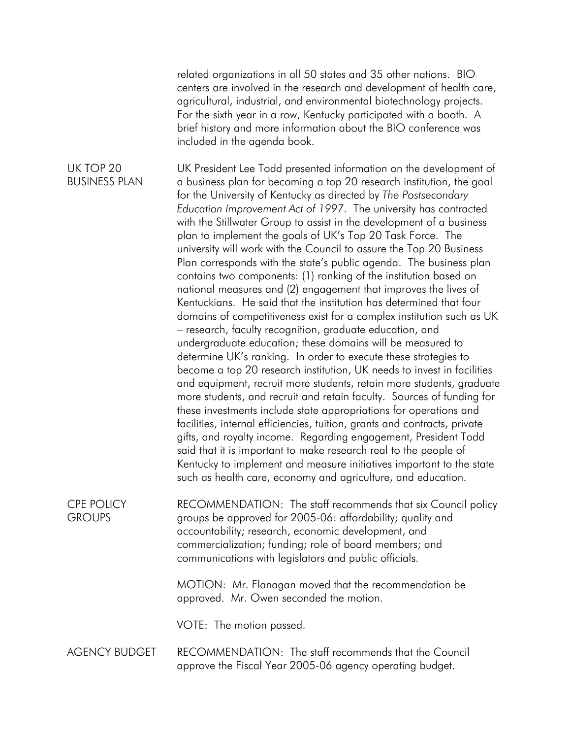related organizations in all 50 states and 35 other nations. BIO centers are involved in the research and development of health care, agricultural, industrial, and environmental biotechnology projects. For the sixth year in a row, Kentucky participated with a booth. A brief history and more information about the BIO conference was included in the agenda book.

UK TOP 20 BUSINESS PLAN UK President Lee Todd presented information on the development of a business plan for becoming a top 20 research institution, the goal for the University of Kentucky as directed by *The Postsecondary Education Improvement Act of 1997*. The university has contracted with the Stillwater Group to assist in the development of a business plan to implement the goals of UK's Top 20 Task Force. The university will work with the Council to assure the Top 20 Business Plan corresponds with the state's public agenda. The business plan contains two components: (1) ranking of the institution based on national measures and (2) engagement that improves the lives of Kentuckians. He said that the institution has determined that four domains of competitiveness exist for a complex institution such as UK – research, faculty recognition, graduate education, and undergraduate education; these domains will be measured to determine UK's ranking. In order to execute these strategies to become a top 20 research institution, UK needs to invest in facilities and equipment, recruit more students, retain more students, graduate more students, and recruit and retain faculty. Sources of funding for these investments include state appropriations for operations and facilities, internal efficiencies, tuition, grants and contracts, private gifts, and royalty income. Regarding engagement, President Todd said that it is important to make research real to the people of Kentucky to implement and measure initiatives important to the state such as health care, economy and agriculture, and education.

CPE POLICY **GROUPS** RECOMMENDATION: The staff recommends that six Council policy groups be approved for 2005-06: affordability; quality and accountability; research, economic development, and commercialization; funding; role of board members; and communications with legislators and public officials.

> MOTION: Mr. Flanagan moved that the recommendation be approved. Mr. Owen seconded the motion.

VOTE: The motion passed.

AGENCY BUDGET RECOMMENDATION: The staff recommends that the Council approve the Fiscal Year 2005-06 agency operating budget.